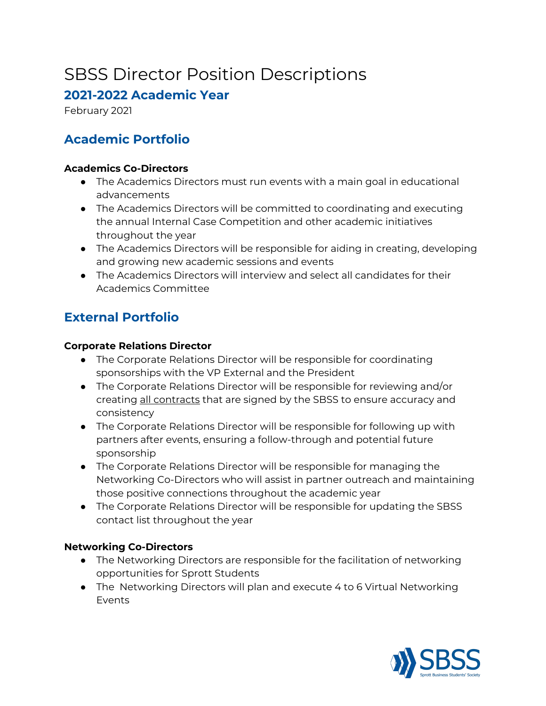# SBSS Director Position Descriptions

### **2021-2022 Academic Year**

February 2021

# **Academic Portfolio**

#### **Academics Co-Directors**

- The Academics Directors must run events with a main goal in educational advancements
- The Academics Directors will be committed to coordinating and executing the annual Internal Case Competition and other academic initiatives throughout the year
- The Academics Directors will be responsible for aiding in creating, developing and growing new academic sessions and events
- The Academics Directors will interview and select all candidates for their Academics Committee

# **External Portfolio**

#### **Corporate Relations Director**

- The Corporate Relations Director will be responsible for coordinating sponsorships with the VP External and the President
- The Corporate Relations Director will be responsible for reviewing and/or creating all contracts that are signed by the SBSS to ensure accuracy and consistency
- The Corporate Relations Director will be responsible for following up with partners after events, ensuring a follow-through and potential future sponsorship
- The Corporate Relations Director will be responsible for managing the Networking Co-Directors who will assist in partner outreach and maintaining those positive connections throughout the academic year
- The Corporate Relations Director will be responsible for updating the SBSS contact list throughout the year

#### **Networking Co-Directors**

- The Networking Directors are responsible for the facilitation of networking opportunities for Sprott Students
- The Networking Directors will plan and execute 4 to 6 Virtual Networking Events

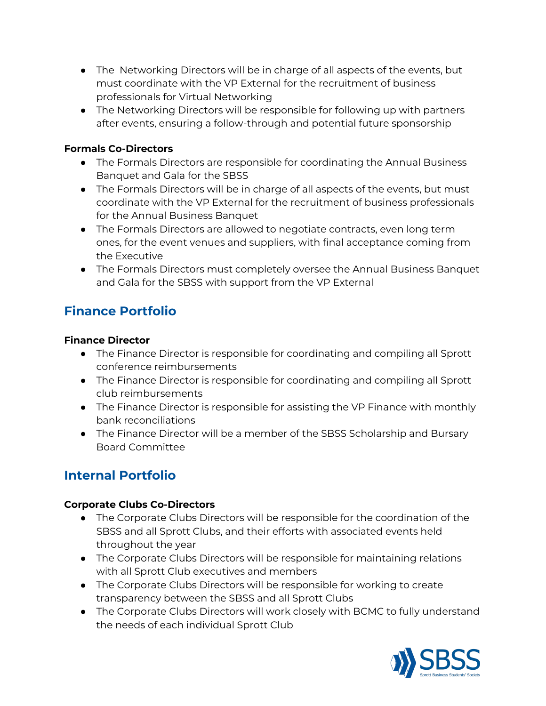- The Networking Directors will be in charge of all aspects of the events, but must coordinate with the VP External for the recruitment of business professionals for Virtual Networking
- The Networking Directors will be responsible for following up with partners after events, ensuring a follow-through and potential future sponsorship

#### **Formals Co-Directors**

- The Formals Directors are responsible for coordinating the Annual Business Banquet and Gala for the SBSS
- The Formals Directors will be in charge of all aspects of the events, but must coordinate with the VP External for the recruitment of business professionals for the Annual Business Banquet
- The Formals Directors are allowed to negotiate contracts, even long term ones, for the event venues and suppliers, with final acceptance coming from the Executive
- The Formals Directors must completely oversee the Annual Business Banquet and Gala for the SBSS with support from the VP External

# **Finance Portfolio**

#### **Finance Director**

- The Finance Director is responsible for coordinating and compiling all Sprott conference reimbursements
- The Finance Director is responsible for coordinating and compiling all Sprott club reimbursements
- The Finance Director is responsible for assisting the VP Finance with monthly bank reconciliations
- The Finance Director will be a member of the SBSS Scholarship and Bursary Board Committee

# **Internal Portfolio**

#### **Corporate Clubs Co-Directors**

- The Corporate Clubs Directors will be responsible for the coordination of the SBSS and all Sprott Clubs, and their efforts with associated events held throughout the year
- The Corporate Clubs Directors will be responsible for maintaining relations with all Sprott Club executives and members
- The Corporate Clubs Directors will be responsible for working to create transparency between the SBSS and all Sprott Clubs
- The Corporate Clubs Directors will work closely with BCMC to fully understand the needs of each individual Sprott Club

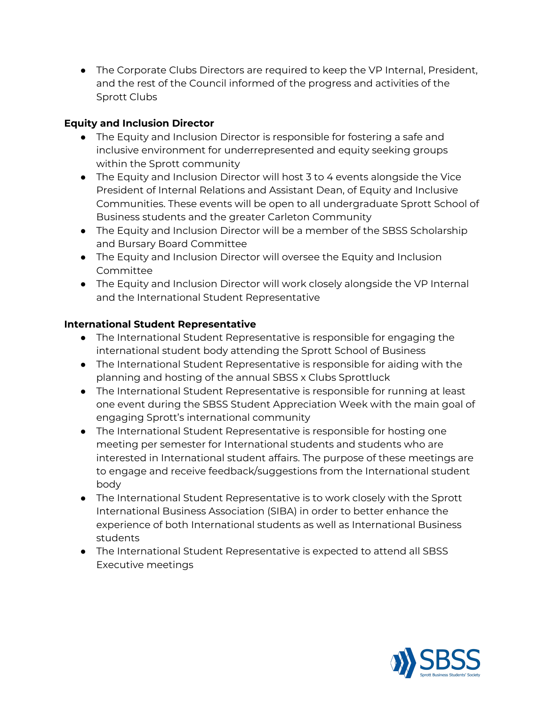● The Corporate Clubs Directors are required to keep the VP Internal, President, and the rest of the Council informed of the progress and activities of the Sprott Clubs

#### **Equity and Inclusion Director**

- The Equity and Inclusion Director is responsible for fostering a safe and inclusive environment for underrepresented and equity seeking groups within the Sprott community
- The Equity and Inclusion Director will host 3 to 4 events alongside the Vice President of Internal Relations and Assistant Dean, of Equity and Inclusive Communities. These events will be open to all undergraduate Sprott School of Business students and the greater Carleton Community
- The Equity and Inclusion Director will be a member of the SBSS Scholarship and Bursary Board Committee
- The Equity and Inclusion Director will oversee the Equity and Inclusion Committee
- The Equity and Inclusion Director will work closely alongside the VP Internal and the International Student Representative

#### **International Student Representative**

- The International Student Representative is responsible for engaging the international student body attending the Sprott School of Business
- The International Student Representative is responsible for aiding with the planning and hosting of the annual SBSS x Clubs Sprottluck
- The International Student Representative is responsible for running at least one event during the SBSS Student Appreciation Week with the main goal of engaging Sprott's international community
- The International Student Representative is responsible for hosting one meeting per semester for International students and students who are interested in International student affairs. The purpose of these meetings are to engage and receive feedback/suggestions from the International student body
- The International Student Representative is to work closely with the Sprott International Business Association (SIBA) in order to better enhance the experience of both International students as well as International Business students
- The International Student Representative is expected to attend all SBSS Executive meetings

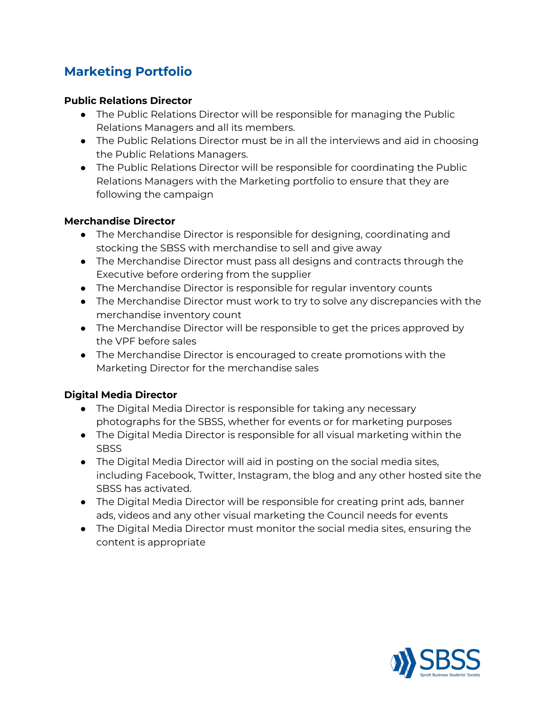# **Marketing Portfolio**

#### **Public Relations Director**

- The Public Relations Director will be responsible for managing the Public Relations Managers and all its members.
- The Public Relations Director must be in all the interviews and aid in choosing the Public Relations Managers.
- The Public Relations Director will be responsible for coordinating the Public Relations Managers with the Marketing portfolio to ensure that they are following the campaign

#### **Merchandise Director**

- The Merchandise Director is responsible for designing, coordinating and stocking the SBSS with merchandise to sell and give away
- The Merchandise Director must pass all designs and contracts through the Executive before ordering from the supplier
- The Merchandise Director is responsible for regular inventory counts
- The Merchandise Director must work to try to solve any discrepancies with the merchandise inventory count
- The Merchandise Director will be responsible to get the prices approved by the VPF before sales
- The Merchandise Director is encouraged to create promotions with the Marketing Director for the merchandise sales

#### **Digital Media Director**

- The Digital Media Director is responsible for taking any necessary photographs for the SBSS, whether for events or for marketing purposes
- The Digital Media Director is responsible for all visual marketing within the **SBSS**
- The Digital Media Director will aid in posting on the social media sites, including Facebook, Twitter, Instagram, the blog and any other hosted site the SBSS has activated.
- The Digital Media Director will be responsible for creating print ads, banner ads, videos and any other visual marketing the Council needs for events
- The Digital Media Director must monitor the social media sites, ensuring the content is appropriate

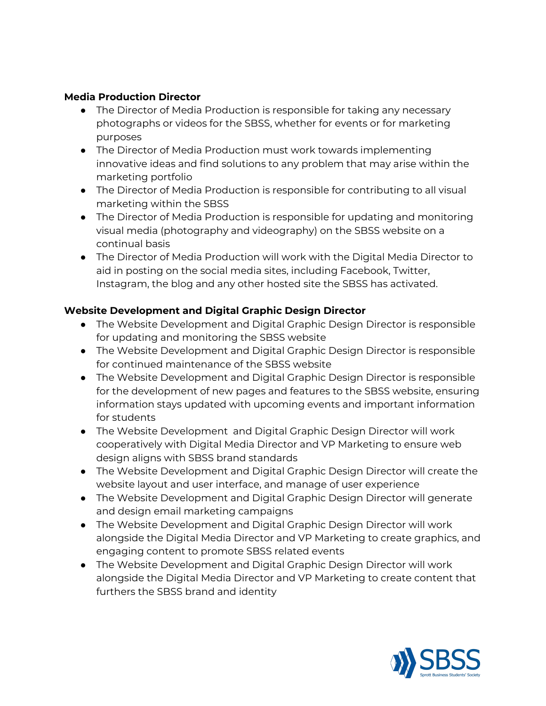#### **Media Production Director**

- The Director of Media Production is responsible for taking any necessary photographs or videos for the SBSS, whether for events or for marketing purposes
- The Director of Media Production must work towards implementing innovative ideas and find solutions to any problem that may arise within the marketing portfolio
- The Director of Media Production is responsible for contributing to all visual marketing within the SBSS
- The Director of Media Production is responsible for updating and monitoring visual media (photography and videography) on the SBSS website on a continual basis
- The Director of Media Production will work with the Digital Media Director to aid in posting on the social media sites, including Facebook, Twitter, Instagram, the blog and any other hosted site the SBSS has activated.

#### **Website Development and Digital Graphic Design Director**

- The Website Development and Digital Graphic Design Director is responsible for updating and monitoring the SBSS website
- The Website Development and Digital Graphic Design Director is responsible for continued maintenance of the SBSS website
- The Website Development and Digital Graphic Design Director is responsible for the development of new pages and features to the SBSS website, ensuring information stays updated with upcoming events and important information for students
- The Website Development and Digital Graphic Design Director will work cooperatively with Digital Media Director and VP Marketing to ensure web design aligns with SBSS brand standards
- The Website Development and Digital Graphic Design Director will create the website layout and user interface, and manage of user experience
- The Website Development and Digital Graphic Design Director will generate and design email marketing campaigns
- The Website Development and Digital Graphic Design Director will work alongside the Digital Media Director and VP Marketing to create graphics, and engaging content to promote SBSS related events
- The Website Development and Digital Graphic Design Director will work alongside the Digital Media Director and VP Marketing to create content that furthers the SBSS brand and identity